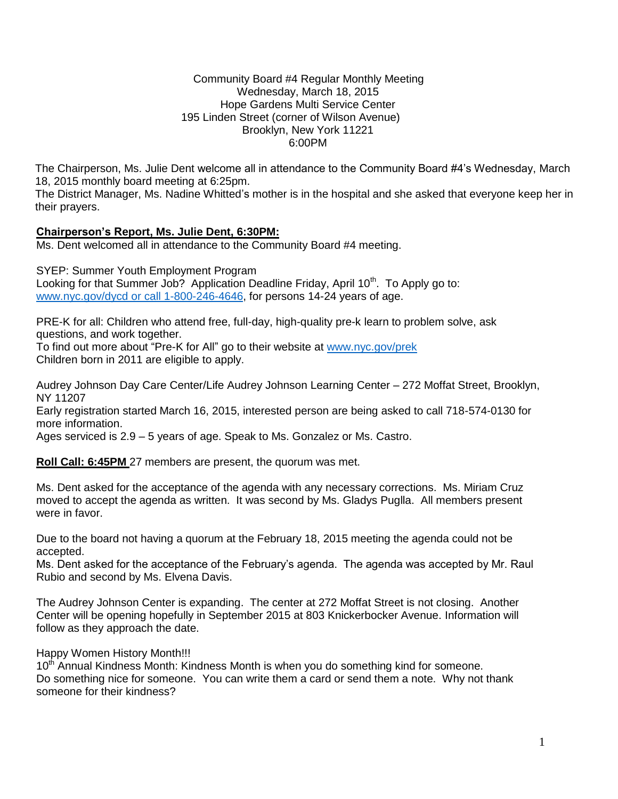#### Community Board #4 Regular Monthly Meeting Wednesday, March 18, 2015 Hope Gardens Multi Service Center 195 Linden Street (corner of Wilson Avenue) Brooklyn, New York 11221 6:00PM

The Chairperson, Ms. Julie Dent welcome all in attendance to the Community Board #4's Wednesday, March 18, 2015 monthly board meeting at 6:25pm.

The District Manager, Ms. Nadine Whitted's mother is in the hospital and she asked that everyone keep her in their prayers.

## **Chairperson's Report, Ms. Julie Dent, 6:30PM:**

Ms. Dent welcomed all in attendance to the Community Board #4 meeting.

SYEP: Summer Youth Employment Program Looking for that Summer Job? Application Deadline Friday, April 10<sup>th</sup>. To Apply go to: [www.nyc.gov/dycd or call 1-800-246-4646,](http://www.nyc.gov/dycd%20or%20call%201-800-246-4646) for persons 14-24 years of age.

PRE-K for all: Children who attend free, full-day, high-quality pre-k learn to problem solve, ask questions, and work together.

To find out more about "Pre-K for All" go to their website at [www.nyc.gov/prek](http://www.nyc.gov/prek) Children born in 2011 are eligible to apply.

Audrey Johnson Day Care Center/Life Audrey Johnson Learning Center – 272 Moffat Street, Brooklyn, NY 11207

Early registration started March 16, 2015, interested person are being asked to call 718-574-0130 for more information.

Ages serviced is 2.9 – 5 years of age. Speak to Ms. Gonzalez or Ms. Castro.

**Roll Call: 6:45PM** 27 members are present, the quorum was met.

Ms. Dent asked for the acceptance of the agenda with any necessary corrections. Ms. Miriam Cruz moved to accept the agenda as written. It was second by Ms. Gladys Puglla. All members present were in favor.

Due to the board not having a quorum at the February 18, 2015 meeting the agenda could not be accepted.

Ms. Dent asked for the acceptance of the February's agenda. The agenda was accepted by Mr. Raul Rubio and second by Ms. Elvena Davis.

The Audrey Johnson Center is expanding. The center at 272 Moffat Street is not closing. Another Center will be opening hopefully in September 2015 at 803 Knickerbocker Avenue. Information will follow as they approach the date.

Happy Women History Month!!!

10<sup>th</sup> Annual Kindness Month: Kindness Month is when you do something kind for someone. Do something nice for someone. You can write them a card or send them a note. Why not thank someone for their kindness?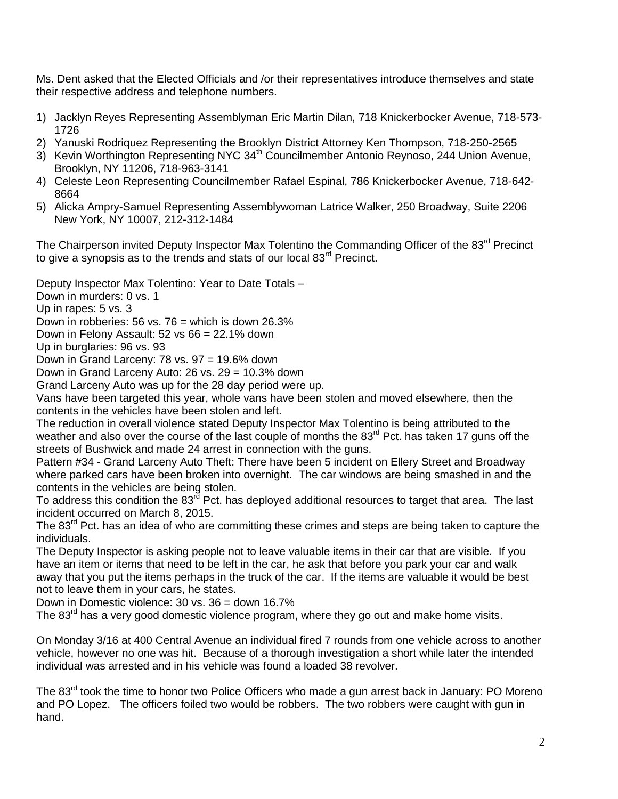Ms. Dent asked that the Elected Officials and /or their representatives introduce themselves and state their respective address and telephone numbers.

- 1) Jacklyn Reyes Representing Assemblyman Eric Martin Dilan, 718 Knickerbocker Avenue, 718-573- 1726
- 2) Yanuski Rodriquez Representing the Brooklyn District Attorney Ken Thompson, 718-250-2565
- 3) Kevin Worthington Representing NYC 34<sup>th</sup> Councilmember Antonio Reynoso, 244 Union Avenue, Brooklyn, NY 11206, 718-963-3141
- 4) Celeste Leon Representing Councilmember Rafael Espinal, 786 Knickerbocker Avenue, 718-642- 8664
- 5) Alicka Ampry-Samuel Representing Assemblywoman Latrice Walker, 250 Broadway, Suite 2206 New York, NY 10007, 212-312-1484

The Chairperson invited Deputy Inspector Max Tolentino the Commanding Officer of the 83<sup>rd</sup> Precinct to give a synopsis as to the trends and stats of our local  $83<sup>rd</sup>$  Precinct.

Deputy Inspector Max Tolentino: Year to Date Totals –

Down in murders: 0 vs. 1

Up in rapes: 5 vs. 3

Down in robberies: 56 vs.  $76 =$  which is down 26.3%

Down in Felony Assault: 52 vs 66 = 22.1% down

Up in burglaries: 96 vs. 93

Down in Grand Larceny: 78 vs. 97 = 19.6% down

Down in Grand Larceny Auto: 26 vs. 29 = 10.3% down

Grand Larceny Auto was up for the 28 day period were up.

Vans have been targeted this year, whole vans have been stolen and moved elsewhere, then the contents in the vehicles have been stolen and left.

The reduction in overall violence stated Deputy Inspector Max Tolentino is being attributed to the weather and also over the course of the last couple of months the  $83<sup>rd</sup>$  Pct. has taken 17 guns off the streets of Bushwick and made 24 arrest in connection with the guns.

Pattern #34 - Grand Larceny Auto Theft: There have been 5 incident on Ellery Street and Broadway where parked cars have been broken into overnight. The car windows are being smashed in and the contents in the vehicles are being stolen.

To address this condition the 83<sup>rd</sup> Pct. has deployed additional resources to target that area. The last incident occurred on March 8, 2015.

The  $83<sup>rd</sup>$  Pct. has an idea of who are committing these crimes and steps are being taken to capture the individuals.

The Deputy Inspector is asking people not to leave valuable items in their car that are visible. If you have an item or items that need to be left in the car, he ask that before you park your car and walk away that you put the items perhaps in the truck of the car. If the items are valuable it would be best not to leave them in your cars, he states.

Down in Domestic violence: 30 vs. 36 = down 16.7%

The 83<sup>rd</sup> has a very good domestic violence program, where they go out and make home visits.

On Monday 3/16 at 400 Central Avenue an individual fired 7 rounds from one vehicle across to another vehicle, however no one was hit. Because of a thorough investigation a short while later the intended individual was arrested and in his vehicle was found a loaded 38 revolver.

The 83 $^{\text{rd}}$  took the time to honor two Police Officers who made a gun arrest back in January: PO Moreno and PO Lopez. The officers foiled two would be robbers. The two robbers were caught with gun in hand.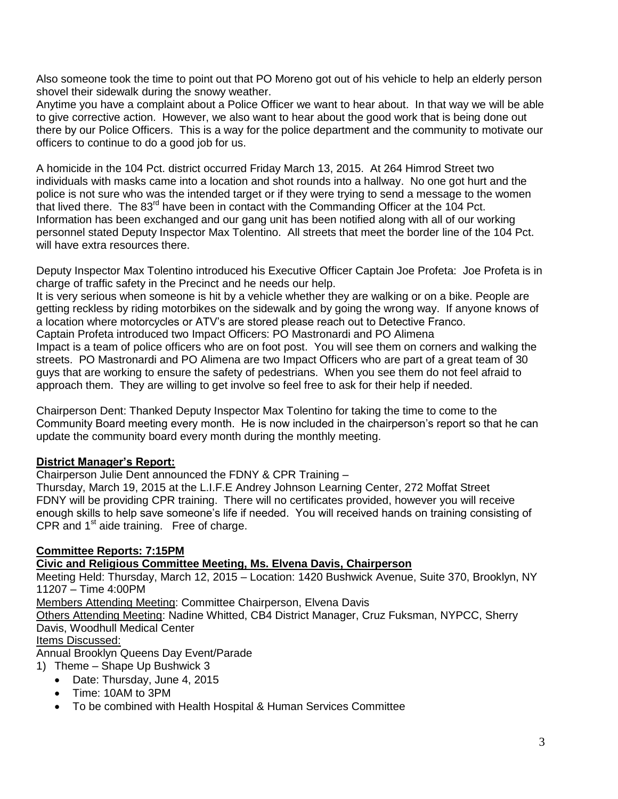Also someone took the time to point out that PO Moreno got out of his vehicle to help an elderly person shovel their sidewalk during the snowy weather.

Anytime you have a complaint about a Police Officer we want to hear about. In that way we will be able to give corrective action. However, we also want to hear about the good work that is being done out there by our Police Officers. This is a way for the police department and the community to motivate our officers to continue to do a good job for us.

A homicide in the 104 Pct. district occurred Friday March 13, 2015. At 264 Himrod Street two individuals with masks came into a location and shot rounds into a hallway. No one got hurt and the police is not sure who was the intended target or if they were trying to send a message to the women that lived there. The 83rd have been in contact with the Commanding Officer at the 104 Pct. Information has been exchanged and our gang unit has been notified along with all of our working personnel stated Deputy Inspector Max Tolentino. All streets that meet the border line of the 104 Pct. will have extra resources there.

Deputy Inspector Max Tolentino introduced his Executive Officer Captain Joe Profeta: Joe Profeta is in charge of traffic safety in the Precinct and he needs our help.

It is very serious when someone is hit by a vehicle whether they are walking or on a bike. People are getting reckless by riding motorbikes on the sidewalk and by going the wrong way. If anyone knows of a location where motorcycles or ATV's are stored please reach out to Detective Franco.

Captain Profeta introduced two Impact Officers: PO Mastronardi and PO Alimena

Impact is a team of police officers who are on foot post. You will see them on corners and walking the streets. PO Mastronardi and PO Alimena are two Impact Officers who are part of a great team of 30 guys that are working to ensure the safety of pedestrians. When you see them do not feel afraid to approach them. They are willing to get involve so feel free to ask for their help if needed.

Chairperson Dent: Thanked Deputy Inspector Max Tolentino for taking the time to come to the Community Board meeting every month. He is now included in the chairperson's report so that he can update the community board every month during the monthly meeting.

## **District Manager's Report:**

Chairperson Julie Dent announced the FDNY & CPR Training –

Thursday, March 19, 2015 at the L.I.F.E Andrey Johnson Learning Center, 272 Moffat Street FDNY will be providing CPR training. There will no certificates provided, however you will receive enough skills to help save someone's life if needed. You will received hands on training consisting of CPR and  $1<sup>st</sup>$  aide training. Free of charge.

# **Committee Reports: 7:15PM**

**Civic and Religious Committee Meeting, Ms. Elvena Davis, Chairperson** 

Meeting Held: Thursday, March 12, 2015 – Location: 1420 Bushwick Avenue, Suite 370, Brooklyn, NY 11207 – Time 4:00PM

Members Attending Meeting: Committee Chairperson, Elvena Davis

Others Attending Meeting: Nadine Whitted, CB4 District Manager, Cruz Fuksman, NYPCC, Sherry Davis, Woodhull Medical Center

## Items Discussed:

Annual Brooklyn Queens Day Event/Parade

- 1) Theme Shape Up Bushwick 3
	- Date: Thursday, June 4, 2015
	- Time: 10AM to 3PM
	- To be combined with Health Hospital & Human Services Committee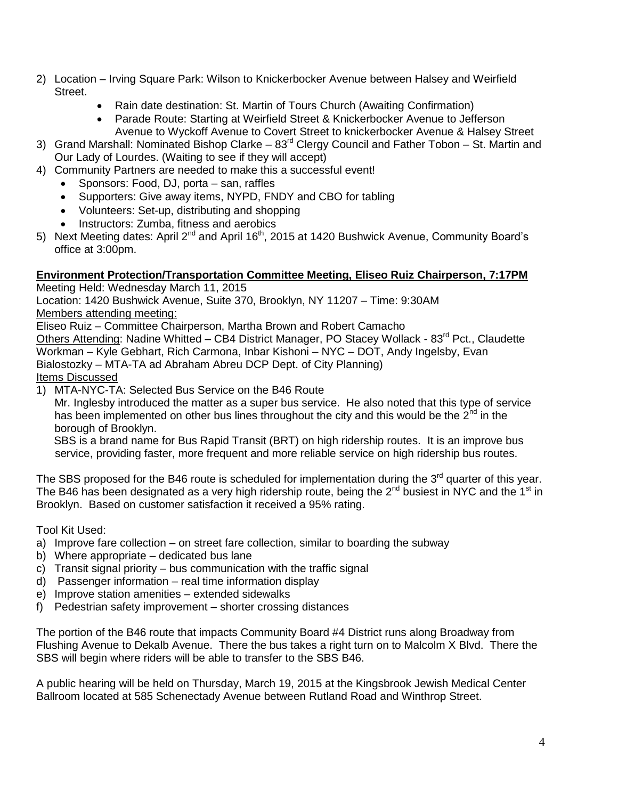- 2) Location Irving Square Park: Wilson to Knickerbocker Avenue between Halsey and Weirfield Street.
	- Rain date destination: St. Martin of Tours Church (Awaiting Confirmation)
	- Parade Route: Starting at Weirfield Street & Knickerbocker Avenue to Jefferson Avenue to Wyckoff Avenue to Covert Street to knickerbocker Avenue & Halsey Street
- 3) Grand Marshall: Nominated Bishop Clarke  $83<sup>rd</sup>$  Clergy Council and Father Tobon St. Martin and Our Lady of Lourdes. (Waiting to see if they will accept)
- 4) Community Partners are needed to make this a successful event!
	- Sponsors: Food, DJ, porta san, raffles
	- Supporters: Give away items, NYPD, FNDY and CBO for tabling
	- Volunteers: Set-up, distributing and shopping
	- Instructors: Zumba, fitness and aerobics
- 5) Next Meeting dates: April  $2^{nd}$  and April 16<sup>th</sup>, 2015 at 1420 Bushwick Avenue, Community Board's office at 3:00pm.

## **Environment Protection/Transportation Committee Meeting, Eliseo Ruiz Chairperson, 7:17PM**

Meeting Held: Wednesday March 11, 2015

Location: 1420 Bushwick Avenue, Suite 370, Brooklyn, NY 11207 – Time: 9:30AM Members attending meeting:

Eliseo Ruiz – Committee Chairperson, Martha Brown and Robert Camacho

Others Attending: Nadine Whitted - CB4 District Manager, PO Stacey Wollack - 83<sup>rd</sup> Pct., Claudette Workman – Kyle Gebhart, Rich Carmona, Inbar Kishoni – NYC – DOT, Andy Ingelsby, Evan Bialostozky – MTA-TA ad Abraham Abreu DCP Dept. of City Planning) Items Discussed

1) MTA-NYC-TA: Selected Bus Service on the B46 Route

Mr. Inglesby introduced the matter as a super bus service. He also noted that this type of service has been implemented on other bus lines throughout the city and this would be the 2<sup>nd</sup> in the borough of Brooklyn.

SBS is a brand name for Bus Rapid Transit (BRT) on high ridership routes. It is an improve bus service, providing faster, more frequent and more reliable service on high ridership bus routes.

The SBS proposed for the B46 route is scheduled for implementation during the  $3<sup>rd</sup>$  quarter of this year. The B46 has been designated as a very high ridership route, being the  $2^{nd}$  busiest in NYC and the 1<sup>st</sup> in Brooklyn. Based on customer satisfaction it received a 95% rating.

Tool Kit Used:

- a) Improve fare collection on street fare collection, similar to boarding the subway
- b) Where appropriate dedicated bus lane
- c) Transit signal priority bus communication with the traffic signal
- d) Passenger information real time information display
- e) Improve station amenities extended sidewalks
- f) Pedestrian safety improvement shorter crossing distances

The portion of the B46 route that impacts Community Board #4 District runs along Broadway from Flushing Avenue to Dekalb Avenue. There the bus takes a right turn on to Malcolm X Blvd. There the SBS will begin where riders will be able to transfer to the SBS B46.

A public hearing will be held on Thursday, March 19, 2015 at the Kingsbrook Jewish Medical Center Ballroom located at 585 Schenectady Avenue between Rutland Road and Winthrop Street.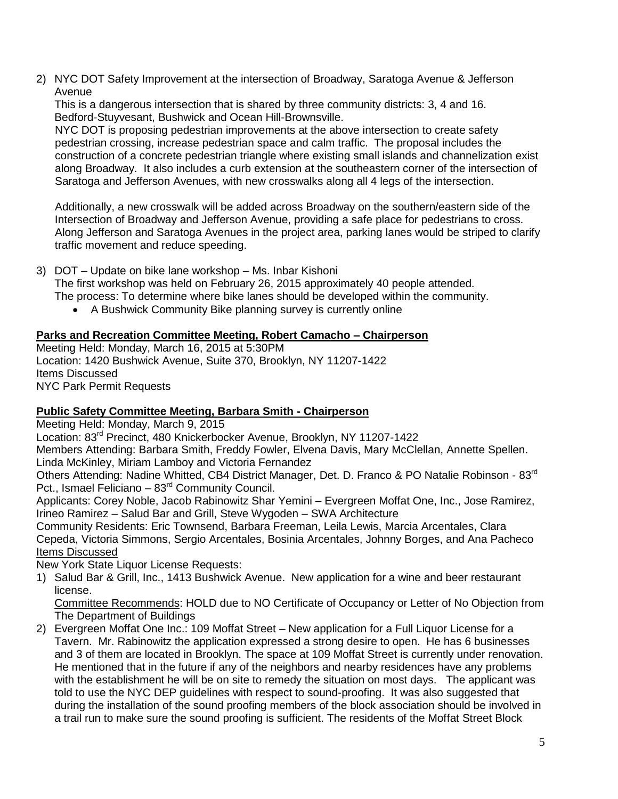2) NYC DOT Safety Improvement at the intersection of Broadway, Saratoga Avenue & Jefferson Avenue

This is a dangerous intersection that is shared by three community districts: 3, 4 and 16. Bedford-Stuyvesant, Bushwick and Ocean Hill-Brownsville.

 NYC DOT is proposing pedestrian improvements at the above intersection to create safety pedestrian crossing, increase pedestrian space and calm traffic. The proposal includes the construction of a concrete pedestrian triangle where existing small islands and channelization exist along Broadway. It also includes a curb extension at the southeastern corner of the intersection of Saratoga and Jefferson Avenues, with new crosswalks along all 4 legs of the intersection.

 Additionally, a new crosswalk will be added across Broadway on the southern/eastern side of the Intersection of Broadway and Jefferson Avenue, providing a safe place for pedestrians to cross. Along Jefferson and Saratoga Avenues in the project area, parking lanes would be striped to clarify traffic movement and reduce speeding.

- 3) DOT Update on bike lane workshop Ms. Inbar Kishoni The first workshop was held on February 26, 2015 approximately 40 people attended. The process: To determine where bike lanes should be developed within the community.
	- A Bushwick Community Bike planning survey is currently online

# **Parks and Recreation Committee Meeting, Robert Camacho – Chairperson**

Meeting Held: Monday, March 16, 2015 at 5:30PM Location: 1420 Bushwick Avenue, Suite 370, Brooklyn, NY 11207-1422 Items Discussed NYC Park Permit Requests

## **Public Safety Committee Meeting, Barbara Smith - Chairperson**

Meeting Held: Monday, March 9, 2015

Location: 83<sup>rd</sup> Precinct, 480 Knickerbocker Avenue, Brooklyn, NY 11207-1422 Members Attending: Barbara Smith, Freddy Fowler, Elvena Davis, Mary McClellan, Annette Spellen. Linda McKinley, Miriam Lamboy and Victoria Fernandez

Others Attending: Nadine Whitted, CB4 District Manager, Det. D. Franco & PO Natalie Robinson - 83rd Pct., Ismael Feliciano - 83<sup>rd</sup> Community Council.

Applicants: Corey Noble, Jacob Rabinowitz Shar Yemini – Evergreen Moffat One, Inc., Jose Ramirez, Irineo Ramirez – Salud Bar and Grill, Steve Wygoden – SWA Architecture

Community Residents: Eric Townsend, Barbara Freeman, Leila Lewis, Marcia Arcentales, Clara Cepeda, Victoria Simmons, Sergio Arcentales, Bosinia Arcentales, Johnny Borges, and Ana Pacheco Items Discussed

New York State Liquor License Requests:

1) Salud Bar & Grill, Inc., 1413 Bushwick Avenue. New application for a wine and beer restaurant license.

Committee Recommends: HOLD due to NO Certificate of Occupancy or Letter of No Objection from The Department of Buildings

2) Evergreen Moffat One Inc.: 109 Moffat Street – New application for a Full Liquor License for a Tavern. Mr. Rabinowitz the application expressed a strong desire to open. He has 6 businesses and 3 of them are located in Brooklyn. The space at 109 Moffat Street is currently under renovation. He mentioned that in the future if any of the neighbors and nearby residences have any problems with the establishment he will be on site to remedy the situation on most days. The applicant was told to use the NYC DEP guidelines with respect to sound-proofing. It was also suggested that during the installation of the sound proofing members of the block association should be involved in a trail run to make sure the sound proofing is sufficient. The residents of the Moffat Street Block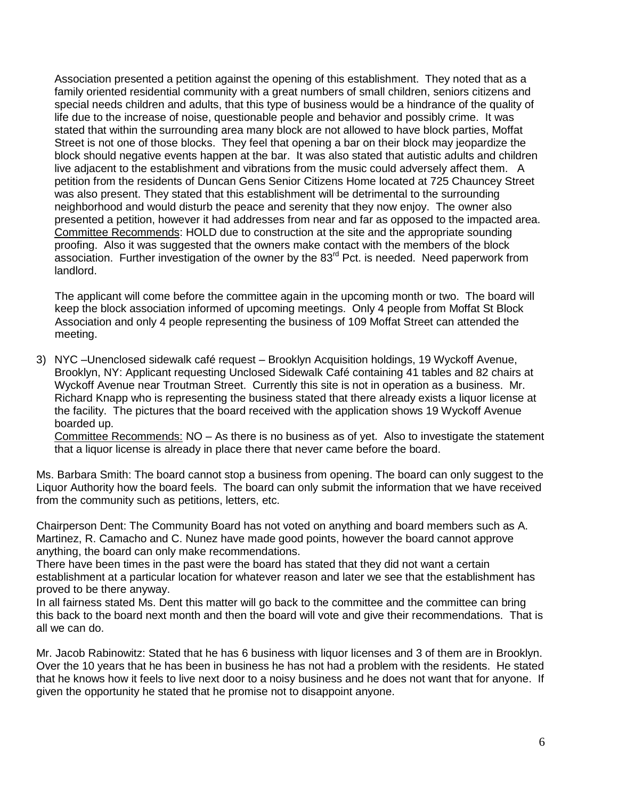Association presented a petition against the opening of this establishment. They noted that as a family oriented residential community with a great numbers of small children, seniors citizens and special needs children and adults, that this type of business would be a hindrance of the quality of life due to the increase of noise, questionable people and behavior and possibly crime. It was stated that within the surrounding area many block are not allowed to have block parties, Moffat Street is not one of those blocks. They feel that opening a bar on their block may jeopardize the block should negative events happen at the bar. It was also stated that autistic adults and children live adjacent to the establishment and vibrations from the music could adversely affect them. A petition from the residents of Duncan Gens Senior Citizens Home located at 725 Chauncey Street was also present. They stated that this establishment will be detrimental to the surrounding neighborhood and would disturb the peace and serenity that they now enjoy. The owner also presented a petition, however it had addresses from near and far as opposed to the impacted area. Committee Recommends: HOLD due to construction at the site and the appropriate sounding proofing. Also it was suggested that the owners make contact with the members of the block  $\alpha$  association. Further investigation of the owner by the 83 $^{\text{rd}}$  Pct. is needed. Need paperwork from landlord.

 The applicant will come before the committee again in the upcoming month or two. The board will keep the block association informed of upcoming meetings. Only 4 people from Moffat St Block Association and only 4 people representing the business of 109 Moffat Street can attended the meeting.

3) NYC –Unenclosed sidewalk café request – Brooklyn Acquisition holdings, 19 Wyckoff Avenue, Brooklyn, NY: Applicant requesting Unclosed Sidewalk Café containing 41 tables and 82 chairs at Wyckoff Avenue near Troutman Street. Currently this site is not in operation as a business. Mr. Richard Knapp who is representing the business stated that there already exists a liquor license at the facility. The pictures that the board received with the application shows 19 Wyckoff Avenue boarded up.

Committee Recommends: NO – As there is no business as of yet. Also to investigate the statement that a liquor license is already in place there that never came before the board.

Ms. Barbara Smith: The board cannot stop a business from opening. The board can only suggest to the Liquor Authority how the board feels. The board can only submit the information that we have received from the community such as petitions, letters, etc.

Chairperson Dent: The Community Board has not voted on anything and board members such as A. Martinez, R. Camacho and C. Nunez have made good points, however the board cannot approve anything, the board can only make recommendations.

There have been times in the past were the board has stated that they did not want a certain establishment at a particular location for whatever reason and later we see that the establishment has proved to be there anyway.

In all fairness stated Ms. Dent this matter will go back to the committee and the committee can bring this back to the board next month and then the board will vote and give their recommendations. That is all we can do.

Mr. Jacob Rabinowitz: Stated that he has 6 business with liquor licenses and 3 of them are in Brooklyn. Over the 10 years that he has been in business he has not had a problem with the residents. He stated that he knows how it feels to live next door to a noisy business and he does not want that for anyone. If given the opportunity he stated that he promise not to disappoint anyone.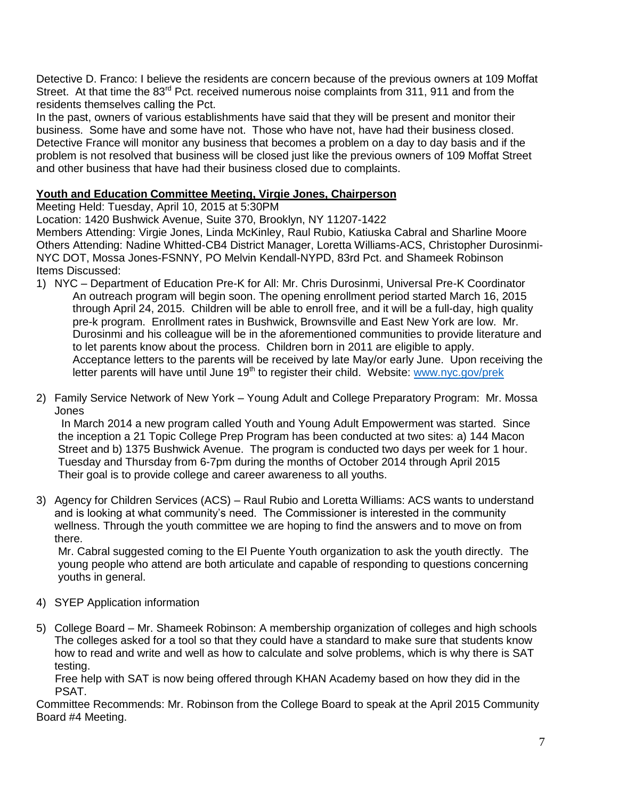Detective D. Franco: I believe the residents are concern because of the previous owners at 109 Moffat Street. At that time the  $83<sup>rd</sup>$  Pct. received numerous noise complaints from 311, 911 and from the residents themselves calling the Pct.

In the past, owners of various establishments have said that they will be present and monitor their business. Some have and some have not. Those who have not, have had their business closed. Detective France will monitor any business that becomes a problem on a day to day basis and if the problem is not resolved that business will be closed just like the previous owners of 109 Moffat Street and other business that have had their business closed due to complaints.

### **Youth and Education Committee Meeting, Virgie Jones, Chairperson**

Meeting Held: Tuesday, April 10, 2015 at 5:30PM

Location: 1420 Bushwick Avenue, Suite 370, Brooklyn, NY 11207-1422

Members Attending: Virgie Jones, Linda McKinley, Raul Rubio, Katiuska Cabral and Sharline Moore Others Attending: Nadine Whitted-CB4 District Manager, Loretta Williams-ACS, Christopher Durosinmi-NYC DOT, Mossa Jones-FSNNY, PO Melvin Kendall-NYPD, 83rd Pct. and Shameek Robinson Items Discussed:

- 1) NYC Department of Education Pre-K for All: Mr. Chris Durosinmi, Universal Pre-K Coordinator An outreach program will begin soon. The opening enrollment period started March 16, 2015 through April 24, 2015. Children will be able to enroll free, and it will be a full-day, high quality pre-k program. Enrollment rates in Bushwick, Brownsville and East New York are low. Mr. Durosinmi and his colleague will be in the aforementioned communities to provide literature and to let parents know about the process. Children born in 2011 are eligible to apply. Acceptance letters to the parents will be received by late May/or early June. Upon receiving the letter parents will have until June 19<sup>th</sup> to register their child. Website: [www.nyc.gov/prek](http://www.nyc.gov/prek)
- 2) Family Service Network of New York Young Adult and College Preparatory Program: Mr. Mossa Jones

In March 2014 a new program called Youth and Young Adult Empowerment was started. Since the inception a 21 Topic College Prep Program has been conducted at two sites: a) 144 Macon Street and b) 1375 Bushwick Avenue. The program is conducted two days per week for 1 hour. Tuesday and Thursday from 6-7pm during the months of October 2014 through April 2015 Their goal is to provide college and career awareness to all youths.

3) Agency for Children Services (ACS) – Raul Rubio and Loretta Williams: ACS wants to understand and is looking at what community's need. The Commissioner is interested in the community wellness. Through the youth committee we are hoping to find the answers and to move on from there.

Mr. Cabral suggested coming to the El Puente Youth organization to ask the youth directly. The young people who attend are both articulate and capable of responding to questions concerning youths in general.

- 4) SYEP Application information
- 5) College Board Mr. Shameek Robinson: A membership organization of colleges and high schools The colleges asked for a tool so that they could have a standard to make sure that students know how to read and write and well as how to calculate and solve problems, which is why there is SAT testing.

 Free help with SAT is now being offered through KHAN Academy based on how they did in the PSAT.

Committee Recommends: Mr. Robinson from the College Board to speak at the April 2015 Community Board #4 Meeting.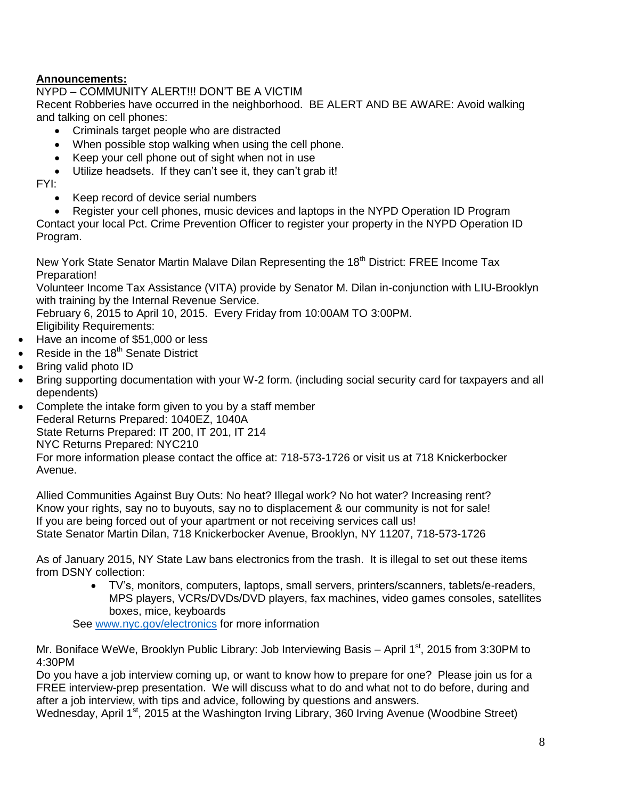## **Announcements:**

NYPD – COMMUNITY ALERT!!! DON'T BE A VICTIM Recent Robberies have occurred in the neighborhood. BE ALERT AND BE AWARE: Avoid walking and talking on cell phones:

- Criminals target people who are distracted
- When possible stop walking when using the cell phone.
- Keep your cell phone out of sight when not in use
- Utilize headsets. If they can't see it, they can't grab it!

FYI:

- Keep record of device serial numbers
- Register your cell phones, music devices and laptops in the NYPD Operation ID Program

Contact your local Pct. Crime Prevention Officer to register your property in the NYPD Operation ID Program.

New York State Senator Martin Malave Dilan Representing the 18<sup>th</sup> District: FREE Income Tax Preparation!

Volunteer Income Tax Assistance (VITA) provide by Senator M. Dilan in-conjunction with LIU-Brooklyn with training by the Internal Revenue Service.

February 6, 2015 to April 10, 2015. Every Friday from 10:00AM TO 3:00PM.

Eligibility Requirements:

- Have an income of \$51,000 or less
- Reside in the  $18<sup>th</sup>$  Senate District
- Bring valid photo ID
- Bring supporting documentation with your W-2 form. (including social security card for taxpayers and all dependents)
- Complete the intake form given to you by a staff member Federal Returns Prepared: 1040EZ, 1040A State Returns Prepared: IT 200, IT 201, IT 214 NYC Returns Prepared: NYC210 For more information please contact the office at: 718-573-1726 or visit us at 718 Knickerbocker Avenue.

Allied Communities Against Buy Outs: No heat? Illegal work? No hot water? Increasing rent? Know your rights, say no to buyouts, say no to displacement & our community is not for sale! If you are being forced out of your apartment or not receiving services call us! State Senator Martin Dilan, 718 Knickerbocker Avenue, Brooklyn, NY 11207, 718-573-1726

As of January 2015, NY State Law bans electronics from the trash. It is illegal to set out these items from DSNY collection:

 TV's, monitors, computers, laptops, small servers, printers/scanners, tablets/e-readers, MPS players, VCRs/DVDs/DVD players, fax machines, video games consoles, satellites boxes, mice, keyboards

See [www.nyc.gov/electronics](http://www.nyc.gov/electronics) for more information

Mr. Boniface WeWe, Brooklyn Public Library: Job Interviewing Basis – April  $1<sup>st</sup>$ , 2015 from 3:30PM to 4:30PM

Do you have a job interview coming up, or want to know how to prepare for one? Please join us for a FREE interview-prep presentation. We will discuss what to do and what not to do before, during and after a job interview, with tips and advice, following by questions and answers.

Wednesday, April 1<sup>st</sup>, 2015 at the Washington Irving Library, 360 Irving Avenue (Woodbine Street)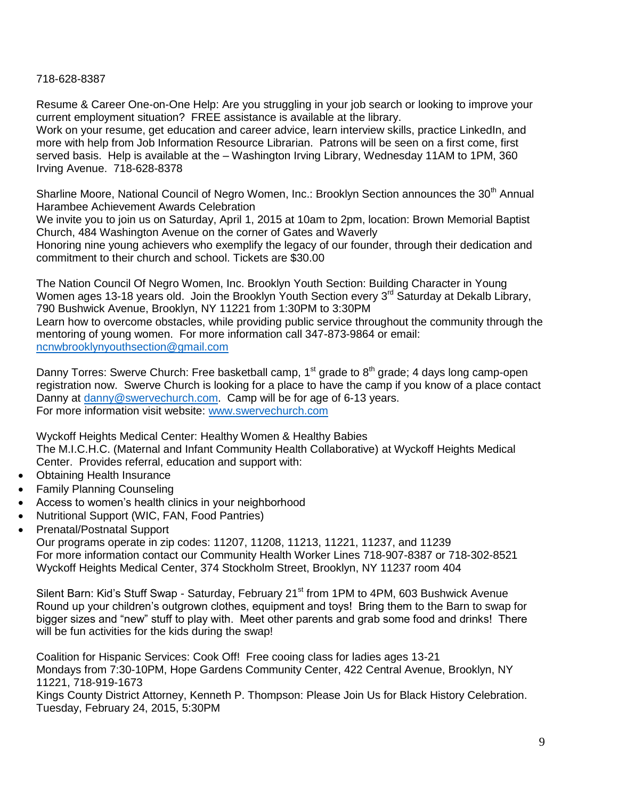#### 718-628-8387

Resume & Career One-on-One Help: Are you struggling in your job search or looking to improve your current employment situation? FREE assistance is available at the library.

Work on your resume, get education and career advice, learn interview skills, practice LinkedIn, and more with help from Job Information Resource Librarian. Patrons will be seen on a first come, first served basis. Help is available at the – Washington Irving Library, Wednesday 11AM to 1PM, 360 Irving Avenue. 718-628-8378

Sharline Moore, National Council of Negro Women, Inc.: Brooklyn Section announces the 30<sup>th</sup> Annual Harambee Achievement Awards Celebration

We invite you to join us on Saturday, April 1, 2015 at 10am to 2pm, location: Brown Memorial Baptist Church, 484 Washington Avenue on the corner of Gates and Waverly

Honoring nine young achievers who exemplify the legacy of our founder, through their dedication and commitment to their church and school. Tickets are \$30.00

The Nation Council Of Negro Women, Inc. Brooklyn Youth Section: Building Character in Young Women ages 13-18 years old. Join the Brooklyn Youth Section every  $3<sup>rd</sup>$  Saturday at Dekalb Library, 790 Bushwick Avenue, Brooklyn, NY 11221 from 1:30PM to 3:30PM Learn how to overcome obstacles, while providing public service throughout the community through the mentoring of young women. For more information call 347-873-9864 or email:

[ncnwbrooklynyouthsection@gmail.com](mailto:ncnwbrooklynyouthsection@gmail.com) 

Danny Torres: Swerve Church: Free basketball camp,  $1<sup>st</sup>$  grade to  $8<sup>th</sup>$  grade; 4 days long camp-open registration now. Swerve Church is looking for a place to have the camp if you know of a place contact Danny at [danny@swervechurch.com.](mailto:danny@swervechurch.com) Camp will be for age of 6-13 years. For more information visit website: [www.swervechurch.com](http://www.swervechurch.com/)

Wyckoff Heights Medical Center: Healthy Women & Healthy Babies The M.I.C.H.C. (Maternal and Infant Community Health Collaborative) at Wyckoff Heights Medical Center. Provides referral, education and support with:

- Obtaining Health Insurance
- Family Planning Counseling
- Access to women's health clinics in your neighborhood
- Nutritional Support (WIC, FAN, Food Pantries)
- Prenatal/Postnatal Support

Our programs operate in zip codes: 11207, 11208, 11213, 11221, 11237, and 11239 For more information contact our Community Health Worker Lines 718-907-8387 or 718-302-8521 Wyckoff Heights Medical Center, 374 Stockholm Street, Brooklyn, NY 11237 room 404

Silent Barn: Kid's Stuff Swap - Saturday, February 21<sup>st</sup> from 1PM to 4PM, 603 Bushwick Avenue Round up your children's outgrown clothes, equipment and toys! Bring them to the Barn to swap for bigger sizes and "new" stuff to play with. Meet other parents and grab some food and drinks! There will be fun activities for the kids during the swap!

Coalition for Hispanic Services: Cook Off! Free cooing class for ladies ages 13-21 Mondays from 7:30-10PM, Hope Gardens Community Center, 422 Central Avenue, Brooklyn, NY 11221, 718-919-1673

Kings County District Attorney, Kenneth P. Thompson: Please Join Us for Black History Celebration. Tuesday, February 24, 2015, 5:30PM